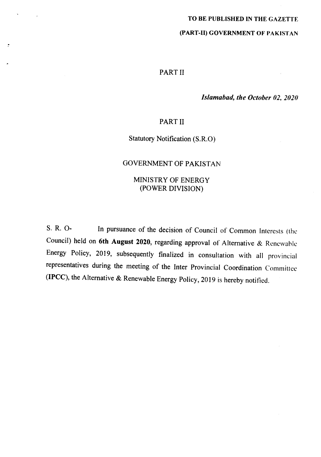# TO BE PUBLISHED IN THE GAZETTE

# (PART-II) GOVERNMENT OF PAKISTAN

# PART II

# *Islamabad, the October 02, 202()*

# PART II

# Statutory Notification (S.R.O)

# GOVERNMENT OF PAKISTAN

# MINISTRY OF ENERGY (POWER DIVISION)

S. R. 0- In pursuance of the decision of Council of Common Interests (the Council) held on 6th August 2020, regarding approval of Alternative & Renewable Energy Policy, 2019, subsequently finalized in consultation with all provincial representatives during the meeting of the Inter Provincial Coordination Committee (IPCC), the Alternative & Renewable Energy Policy, 2019 is hereby notified.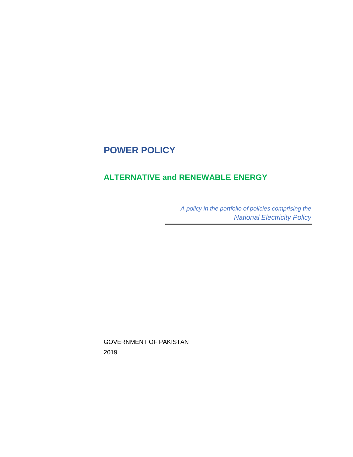# **POWER POLICY**

# **ALTERNATIVE and RENEWABLE ENERGY**

*A policy in the portfolio of policies comprising the National Electricity Policy*

GOVERNMENT OF PAKISTAN 2019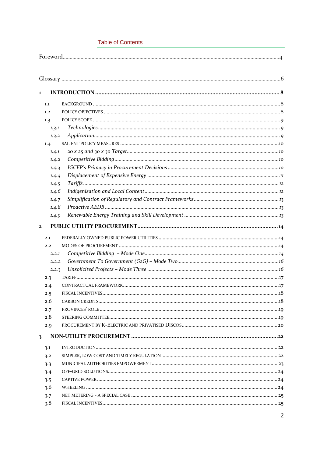# **Table of Contents**

|--|--|

| $\mathbf{1}$ |         |                    |     |
|--------------|---------|--------------------|-----|
|              | 1.1     |                    |     |
|              | 1.2     |                    |     |
|              | 1.3     |                    |     |
|              | 1, 3, 1 |                    |     |
|              | 1.3.2   |                    |     |
|              | 1.4     |                    |     |
|              | 1.4.1   |                    |     |
|              | 1.4.2   |                    |     |
|              | 1.4.3   |                    |     |
|              | 1.4.4   |                    |     |
|              | 1.4.5   |                    |     |
|              | 1.4.6   |                    |     |
|              | 1.4.7   |                    |     |
|              | 1.4.8   |                    |     |
|              | 1.4.9   |                    |     |
| $\mathbf{z}$ |         |                    |     |
|              | 2.1     |                    |     |
|              | 2.2     |                    |     |
|              | 2.2.1   |                    |     |
|              | 2.2.2   |                    |     |
|              | 2.2.3   |                    |     |
|              | 2.3     |                    |     |
|              | 2.4     |                    |     |
|              | 2.5     |                    |     |
|              | 2.6     |                    |     |
|              | 2.7     |                    |     |
|              | 2.8     | STEERING COMMITTEE | .10 |
|              | 2.9     |                    |     |
| 3            |         |                    |     |
|              | 3.1     |                    |     |
|              | 3.2     |                    |     |
|              | 3.3     |                    |     |
|              | 3.4     |                    |     |
|              | 3.5     |                    |     |
|              | 3.6     |                    |     |
|              | 3.7     |                    |     |
|              | 3.8     |                    |     |
|              |         |                    |     |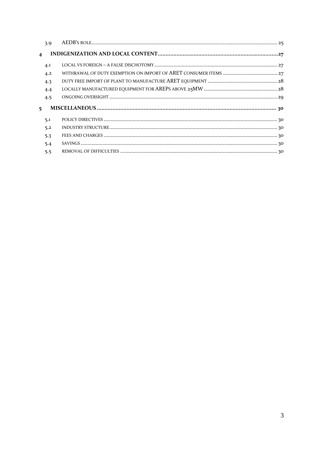|                         | 3.9 |  |  |
|-------------------------|-----|--|--|
| $\overline{\mathbf{4}}$ |     |  |  |
|                         | 4.1 |  |  |
|                         | 4.2 |  |  |
|                         | 4.3 |  |  |
|                         | 4.4 |  |  |
|                         | 4.5 |  |  |
| 5.                      |     |  |  |
|                         | 5.1 |  |  |
|                         | 5.2 |  |  |
|                         | 5.3 |  |  |
|                         | 5.4 |  |  |
|                         | 5.5 |  |  |
|                         |     |  |  |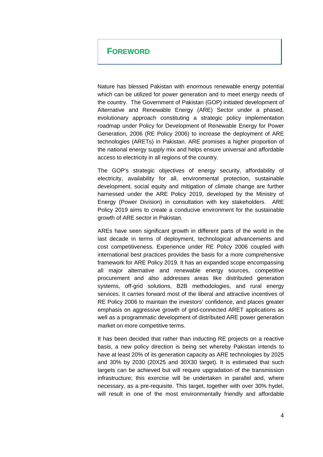# **FOREWORD**

Nature has blessed Pakistan with enormous renewable energy potential which can be utilized for power generation and to meet energy needs of the country. The Government of Pakistan (GOP) initiated development of Alternative and Renewable Energy (ARE) Sector under a phased, evolutionary approach constituting a strategic policy implementation roadmap under Policy for Development of Renewable Energy for Power Generation, 2006 (RE Policy 2006) to increase the deployment of ARE technologies (ARETs) in Pakistan. ARE promises a higher proportion of the national energy supply mix and helps ensure universal and affordable access to electricity in all regions of the country.

The GOP's strategic objectives of energy security, affordability of electricity, availability for all, environmental protection, sustainable development, social equity and mitigation of climate change are further harnessed under the ARE Policy 2019, developed by the Ministry of Energy (Power Division) in consultation with key stakeholders. ARE Policy 2019 aims to create a conducive environment for the sustainable growth of ARE sector in Pakistan.

AREs have seen significant growth in different parts of the world in the last decade in terms of deployment, technological advancements and cost competitiveness. Experience under RE Policy 2006 coupled with international best practices provides the basis for a more comprehensive framework for ARE Policy 2019. It has an expanded scope encompassing all major alternative and renewable energy sources, competitive procurement and also addresses areas like distributed generation systems, off-grid solutions, B2B methodologies, and rural energy services. It carries forward most of the liberal and attractive incentives of RE Policy 2006 to maintain the investors' confidence, and places greater emphasis on aggressive growth of grid-connected ARET applications as well as a programmatic development of distributed ARE power generation market on more competitive terms.

It has been decided that rather than inducting RE projects on a reactive basis, a new policy direction is being set whereby Pakistan intends to have at least 20% of its generation capacity as ARE technologies by 2025 and 30% by 2030 (20X25 and 30X30 target). It is estimated that such targets can be achieved but will require upgradation of the transmission infrastructure; this exercise will be undertaken in parallel and, where necessary, as a pre-requisite. This target, together with over 30% hydel, will result in one of the most environmentally friendly and affordable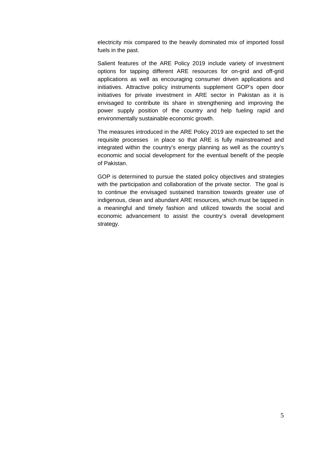electricity mix compared to the heavily dominated mix of imported fossil fuels in the past.

Salient features of the ARE Policy 2019 include variety of investment options for tapping different ARE resources for on-grid and off-grid applications as well as encouraging consumer driven applications and initiatives. Attractive policy instruments supplement GOP's open door initiatives for private investment in ARE sector in Pakistan as it is envisaged to contribute its share in strengthening and improving the power supply position of the country and help fueling rapid and environmentally sustainable economic growth.

The measures introduced in the ARE Policy 2019 are expected to set the requisite processes in place so that ARE is fully mainstreamed and integrated within the country's energy planning as well as the country's economic and social development for the eventual benefit of the people of Pakistan.

GOP is determined to pursue the stated policy objectives and strategies with the participation and collaboration of the private sector. The goal is to continue the envisaged sustained transition towards greater use of indigenous, clean and abundant ARE resources, which must be tapped in a meaningful and timely fashion and utilized towards the social and economic advancement to assist the country's overall development strategy.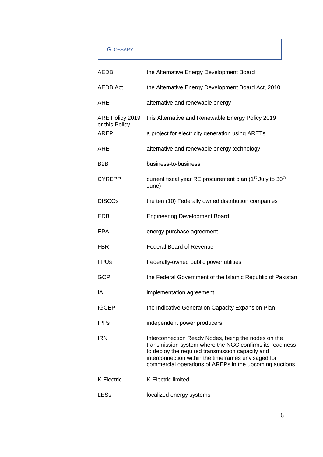# **GLOSSARY**

| AEDB                              | the Alternative Energy Development Board                                                                                                                                                                                                                                              |
|-----------------------------------|---------------------------------------------------------------------------------------------------------------------------------------------------------------------------------------------------------------------------------------------------------------------------------------|
| <b>AEDB Act</b>                   | the Alternative Energy Development Board Act, 2010                                                                                                                                                                                                                                    |
| <b>ARE</b>                        | alternative and renewable energy                                                                                                                                                                                                                                                      |
| ARE Policy 2019<br>or this Policy | this Alternative and Renewable Energy Policy 2019                                                                                                                                                                                                                                     |
| AREP                              | a project for electricity generation using ARETs                                                                                                                                                                                                                                      |
| <b>ARET</b>                       | alternative and renewable energy technology                                                                                                                                                                                                                                           |
| B <sub>2</sub> B                  | business-to-business                                                                                                                                                                                                                                                                  |
| <b>CYREPP</b>                     | current fiscal year RE procurement plan (1 <sup>st</sup> July to 30 <sup>th</sup><br>June)                                                                                                                                                                                            |
| <b>DISCOs</b>                     | the ten (10) Federally owned distribution companies                                                                                                                                                                                                                                   |
| EDB                               | <b>Engineering Development Board</b>                                                                                                                                                                                                                                                  |
| <b>EPA</b>                        | energy purchase agreement                                                                                                                                                                                                                                                             |
| <b>FBR</b>                        | <b>Federal Board of Revenue</b>                                                                                                                                                                                                                                                       |
| <b>FPUs</b>                       | Federally-owned public power utilities                                                                                                                                                                                                                                                |
| <b>GOP</b>                        | the Federal Government of the Islamic Republic of Pakistan                                                                                                                                                                                                                            |
| ΙA                                | implementation agreement                                                                                                                                                                                                                                                              |
| <b>IGCEP</b>                      | the Indicative Generation Capacity Expansion Plan                                                                                                                                                                                                                                     |
| <b>IPPs</b>                       | independent power producers                                                                                                                                                                                                                                                           |
| <b>IRN</b>                        | Interconnection Ready Nodes, being the nodes on the<br>transmission system where the NGC confirms its readiness<br>to deploy the required transmission capacity and<br>interconnection within the timeframes envisaged for<br>commercial operations of AREPs in the upcoming auctions |
| <b>K</b> Electric                 | <b>K-Electric limited</b>                                                                                                                                                                                                                                                             |
| LESs                              | localized energy systems                                                                                                                                                                                                                                                              |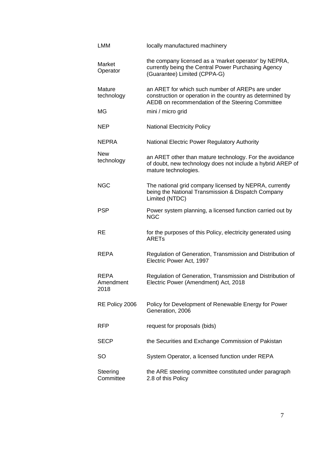| <b>LMM</b>                       | locally manufactured machinery                                                                                                                                    |
|----------------------------------|-------------------------------------------------------------------------------------------------------------------------------------------------------------------|
| Market<br>Operator               | the company licensed as a 'market operator' by NEPRA,<br>currently being the Central Power Purchasing Agency<br>(Guarantee) Limited (CPPA-G)                      |
| Mature<br>technology             | an ARET for which such number of AREPs are under<br>construction or operation in the country as determined by<br>AEDB on recommendation of the Steering Committee |
| ΜG                               | mini / micro grid                                                                                                                                                 |
| NEP                              | <b>National Electricity Policy</b>                                                                                                                                |
| <b>NEPRA</b>                     | National Electric Power Regulatory Authority                                                                                                                      |
| <b>New</b><br>technology         | an ARET other than mature technology. For the avoidance<br>of doubt, new technology does not include a hybrid AREP of<br>mature technologies.                     |
| <b>NGC</b>                       | The national grid company licensed by NEPRA, currently<br>being the National Transmission & Dispatch Company<br>Limited (NTDC)                                    |
| <b>PSP</b>                       | Power system planning, a licensed function carried out by<br><b>NGC</b>                                                                                           |
| RE                               | for the purposes of this Policy, electricity generated using<br><b>ARETs</b>                                                                                      |
| REPA                             | Regulation of Generation, Transmission and Distribution of<br>Electric Power Act, 1997                                                                            |
| <b>REPA</b><br>Amendment<br>2018 | Regulation of Generation, Transmission and Distribution of<br>Electric Power (Amendment) Act, 2018                                                                |
| RE Policy 2006                   | Policy for Development of Renewable Energy for Power<br>Generation, 2006                                                                                          |
| <b>RFP</b>                       | request for proposals (bids)                                                                                                                                      |
| <b>SECP</b>                      | the Securities and Exchange Commission of Pakistan                                                                                                                |
| SO                               | System Operator, a licensed function under REPA                                                                                                                   |
| Steering<br>Committee            | the ARE steering committee constituted under paragraph<br>2.8 of this Policy                                                                                      |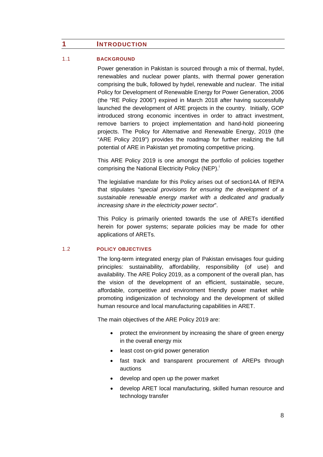# <span id="page-8-0"></span>**1 INTRODUCTION**

#### <span id="page-8-1"></span>1.1 **BACKGROUND**

Power generation in Pakistan is sourced through a mix of thermal, hydel, renewables and nuclear power plants, with thermal power generation comprising the bulk, followed by hydel, renewable and nuclear. The initial Policy for Development of Renewable Energy for Power Generation, 2006 (the "RE Policy 2006") expired in March 2018 after having successfully launched the development of ARE projects in the country. Initially, GOP introduced strong economic incentives in order to attract investment, remove barriers to project implementation and hand-hold pioneering projects. The Policy for Alternative and Renewable Energy, 2019 (the "ARE Policy 2019") provides the roadmap for further realizing the full potential of ARE in Pakistan yet promoting competitive pricing.

This ARE Policy 2019 is one amongst the portfolio of policies together compr[i](#page-32-0)sing the National Electricity Policy (NEP).<sup>i</sup>

The legislative mandate for this Policy arises out of section14A of REPA that stipulates "*special provisions for ensuring the development of a sustainable renewable energy market with a dedicated and gradually increasing share in the electricity power sector*".

This Policy is primarily oriented towards the use of ARETs identified herein for power systems; separate policies may be made for other applications of ARETs.

## <span id="page-8-2"></span>1.2 **POLICY OBJECTIVES**

The long-term integrated energy plan of Pakistan envisages four guiding principles: sustainability, affordability, responsibility (of use) and availability. The ARE Policy 2019, as a component of the overall plan, has the vision of the development of an efficient, sustainable, secure, affordable, competitive and environment friendly power market while promoting indigenization of technology and the development of skilled human resource and local manufacturing capabilities in ARET.

The main objectives of the ARE Policy 2019 are:

- protect the environment by increasing the share of green energy in the overall energy mix
- least cost on-grid power generation
- fast track and transparent procurement of AREPs through auctions
- develop and open up the power market
- develop ARET local manufacturing, skilled human resource and technology transfer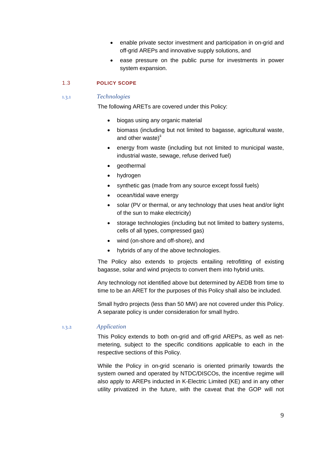- enable private sector investment and participation in on-grid and off-grid AREPs and innovative supply solutions, and
- ease pressure on the public purse for investments in power system expansion.

### <span id="page-9-0"></span>1.3 **POLICY SCOPE**

#### <span id="page-9-1"></span>1.3.1 *Technologies*

The following ARETs are covered under this Policy:

- biogas using any organic material
- biomass (including but not limited to bagasse, agricultural waste, and other waste)<sup>[ii](#page-32-1)</sup>
- energy from waste (including but not limited to municipal waste, industrial waste, sewage, refuse derived fuel)
- geothermal
- hydrogen
- synthetic gas (made from any source except fossil fuels)
- ocean/tidal wave energy
- solar (PV or thermal, or any technology that uses heat and/or light of the sun to make electricity)
- storage technologies (including but not limited to battery systems, cells of all types, compressed gas)
- wind (on-shore and off-shore), and
- hybrids of any of the above technologies.

The Policy also extends to projects entailing retrofitting of existing bagasse, solar and wind projects to convert them into hybrid units.

Any technology not identified above but determined by AEDB from time to time to be an ARET for the purposes of this Policy shall also be included.

Small hydro projects (less than 50 MW) are not covered under this Policy. A separate policy is under consideration for small hydro.

#### <span id="page-9-2"></span>1.3.2 *Application*

This Policy extends to both on-grid and off-grid AREPs, as well as netmetering, subject to the specific conditions applicable to each in the respective sections of this Policy.

While the Policy in on-grid scenario is oriented primarily towards the system owned and operated by NTDC/DISCOs, the incentive regime will also apply to AREPs inducted in K-Electric Limited (KE) and in any other utility privatized in the future, with the caveat that the GOP will not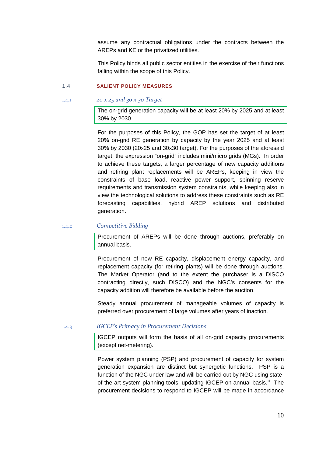assume any contractual obligations under the contracts between the AREPs and KE or the privatized utilities.

This Policy binds all public sector entities in the exercise of their functions falling within the scope of this Policy.

## <span id="page-10-0"></span>1.4 **SALIENT POLICY MEASURES**

<span id="page-10-1"></span>1.4.1 *20 x 25 and 30 x 30 Target*

The on-grid generation capacity will be at least 20% by 2025 and at least 30% by 2030.

For the purposes of this Policy, the GOP has set the target of at least 20% on-grid RE generation by capacity by the year 2025 and at least 30% by 2030 (20X25 and 30X30 target). For the purposes of the aforesaid target, the expression "on-grid" includes mini/micro grids (MGs). In order to achieve these targets, a larger percentage of new capacity additions and retiring plant replacements will be AREPs, keeping in view the constraints of base load, reactive power support, spinning reserve requirements and transmission system constraints, while keeping also in view the technological solutions to address these constraints such as RE forecasting capabilities, hybrid AREP solutions and distributed generation.

# <span id="page-10-2"></span>1.4.2 *Competitive Bidding*

Procurement of AREPs will be done through auctions, preferably on annual basis.

Procurement of new RE capacity, displacement energy capacity, and replacement capacity (for retiring plants) will be done through auctions. The Market Operator (and to the extent the purchaser is a DISCO contracting directly, such DISCO) and the NGC's consents for the capacity addition will therefore be available before the auction.

Steady annual procurement of manageable volumes of capacity is preferred over procurement of large volumes after years of inaction.

#### <span id="page-10-3"></span>1.4.3 *IGCEP's Primacy in Procurement Decisions*

IGCEP outputs will form the basis of all on-grid capacity procurements (except net-metering).

Power system planning (PSP) and procurement of capacity for system generation expansion are distinct but synergetic functions. PSP is a function of the NGC under law and will be carried out by NGC using stateof-the art system planning tools, updating IGCEP on annual basis.<sup>[iii](#page-32-2)</sup> The procurement decisions to respond to IGCEP will be made in accordance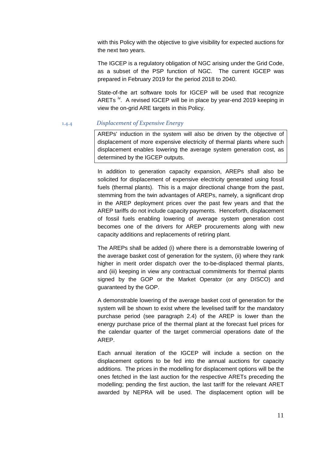with this Policy with the objective to give visibility for expected auctions for the next two years.

The IGCEP is a regulatory obligation of NGC arising under the Grid Code, as a subset of the PSP function of NGC. The current IGCEP was prepared in February 2019 for the period 2018 to 2040.

State-of-the art software tools for IGCEP will be used that recognize ARETs <sup>[iv](#page-32-3)</sup>. A revised IGCEP will be in place by year-end 2019 keeping in view the on-grid ARE targets in this Policy.

#### <span id="page-11-0"></span>1.4.4 *Displacement of Expensive Energy*

AREPs' induction in the system will also be driven by the objective of displacement of more expensive electricity of thermal plants where such displacement enables lowering the average system generation cost, as determined by the IGCEP outputs.

In addition to generation capacity expansion, AREPs shall also be solicited for displacement of expensive electricity generated using fossil fuels (thermal plants). This is a major directional change from the past, stemming from the twin advantages of AREPs, namely, a significant drop in the AREP deployment prices over the past few years and that the AREP tariffs do not include capacity payments. Henceforth, displacement of fossil fuels enabling lowering of average system generation cost becomes one of the drivers for AREP procurements along with new capacity additions and replacements of retiring plant.

The AREPs shall be added (i) where there is a demonstrable lowering of the average basket cost of generation for the system, (ii) where they rank higher in merit order dispatch over the to-be-displaced thermal plants, and (iii) keeping in view any contractual commitments for thermal plants signed by the GOP or the Market Operator (or any DISCO) and guaranteed by the GOP.

A demonstrable lowering of the average basket cost of generation for the system will be shown to exist where the levelised tariff for the mandatory purchase period (see paragraph 2.4) of the AREP is lower than the energy purchase price of the thermal plant at the forecast fuel prices for the calendar quarter of the target commercial operations date of the AREP.

Each annual iteration of the IGCEP will include a section on the displacement options to be fed into the annual auctions for capacity additions. The prices in the modelling for displacement options will be the ones fetched in the last auction for the respective ARETs preceding the modelling; pending the first auction, the last tariff for the relevant ARET awarded by NEPRA will be used. The displacement option will be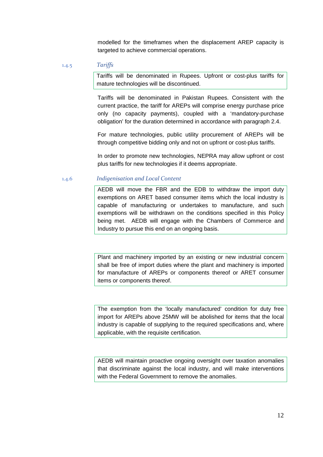modelled for the timeframes when the displacement AREP capacity is targeted to achieve commercial operations.

#### <span id="page-12-0"></span>1.4.5 *Tariffs*

Tariffs will be denominated in Rupees. Upfront or cost-plus tariffs for mature technologies will be discontinued.

Tariffs will be denominated in Pakistan Rupees. Consistent with the current practice, the tariff for AREPs will comprise energy purchase price only (no capacity payments), coupled with a 'mandatory-purchase obligation' for the duration determined in accordance with paragraph 2.4.

For mature technologies, public utility procurement of AREPs will be through competitive bidding only and not on upfront or cost-plus tariffs.

In order to promote new technologies, NEPRA may allow upfront or cost plus tariffs for new technologies if it deems appropriate.

## <span id="page-12-1"></span>1.4.6 *Indigenisation and Local Content*

AEDB will move the FBR and the EDB to withdraw the import duty exemptions on ARET based consumer items which the local industry is capable of manufacturing or undertakes to manufacture, and such exemptions will be withdrawn on the conditions specified in this Policy being met. AEDB will engage with the Chambers of Commerce and Industry to pursue this end on an ongoing basis.

Plant and machinery imported by an existing or new industrial concern shall be free of import duties where the plant and machinery is imported for manufacture of AREPs or components thereof or ARET consumer items or components thereof.

The exemption from the 'locally manufactured' condition for duty free import for AREPs above 25MW will be abolished for items that the local industry is capable of supplying to the required specifications and, where applicable, with the requisite certification.

AEDB will maintain proactive ongoing oversight over taxation anomalies that discriminate against the local industry, and will make interventions with the Federal Government to remove the anomalies.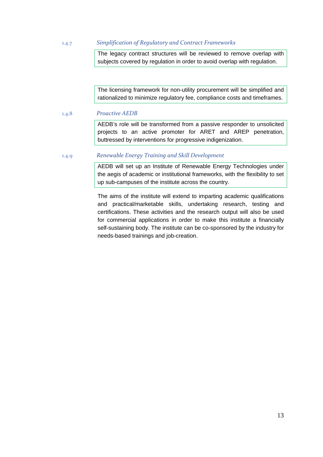<span id="page-13-0"></span>1.4.7 *Simplification of Regulatory and Contract Frameworks*

The legacy contract structures will be reviewed to remove overlap with subjects covered by regulation in order to avoid overlap with regulation.

The licensing framework for non-utility procurement will be simplified and rationalized to minimize regulatory fee, compliance costs and timeframes.

<span id="page-13-1"></span>1.4.8 *Proactive AEDB*

AEDB's role will be transformed from a passive responder to unsolicited projects to an active promoter for ARET and AREP penetration, buttressed by interventions for progressive indigenization.

# <span id="page-13-2"></span>1.4.9 *Renewable Energy Training and Skill Development*

AEDB will set up an Institute of Renewable Energy Technologies under the aegis of academic or institutional frameworks, with the flexibility to set up sub-campuses of the institute across the country.

The aims of the institute will extend to imparting academic qualifications and practical/marketable skills, undertaking research, testing and certifications. These activities and the research output will also be used for commercial applications in order to make this institute a financially self-sustaining body. The institute can be co-sponsored by the industry for needs-based trainings and job-creation.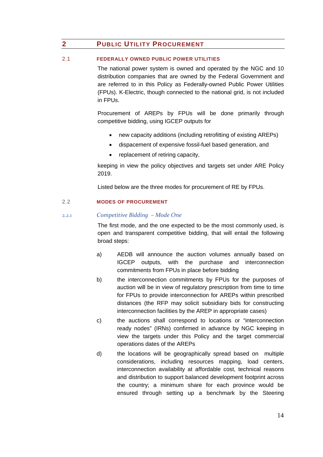# <span id="page-14-0"></span>**2 PUBLIC UTILITY PROCUREMENT**

# <span id="page-14-1"></span>2.1 **FEDERALLY OWNED PUBLIC POWER UTILITIES**

The national power system is owned and operated by the NGC and 10 distribution companies that are owned by the Federal Government and are referred to in this Policy as Federally-owned Public Power Utilities (FPUs). K-Electric, though connected to the national grid, is not included in FPUs.

Procurement of AREPs by FPUs will be done primarily through competitive bidding, using IGCEP outputs for

- new capacity additions (including retrofitting of existing AREPs)
- dispacement of expensive fossil-fuel based generation, and
- replacement of retiring capacity,

keeping in view the policy objectives and targets set under ARE Policy 2019.

Listed below are the three modes for procurement of RE by FPUs.

# <span id="page-14-2"></span>2.2 **MODES OF PROCUREMENT**

## <span id="page-14-3"></span>2.2.1 *Competitive Bidding – Mode One*

The first mode, and the one expected to be the most commonly used, is open and transparent competitive bidding, that will entail the following broad steps:

- a) AEDB will announce the auction volumes annually based on IGCEP outputs, with the purchase and interconnection commitments from FPUs in place before bidding
- b) the interconnection commitments by FPUs for the purposes of auction will be in view of regulatory prescription from time to time for FPUs to provide interconnection for AREPs within prescribed distances (the RFP may solicit subsidiary bids for constructing interconnection facilities by the AREP in appropriate cases)
- c) the auctions shall correspond to locations or "interconnection ready nodes" (IRNs) confirmed in advance by NGC keeping in view the targets under this Policy and the target commercial operations dates of the AREPs
- d) the locations will be geographically spread based on multiple considerations, including resources mapping, load centers, interconnection availability at affordable cost, technical reasons and distribution to support balanced development footprint across the country; a minimum share for each province would be ensured through setting up a benchmark by the Steering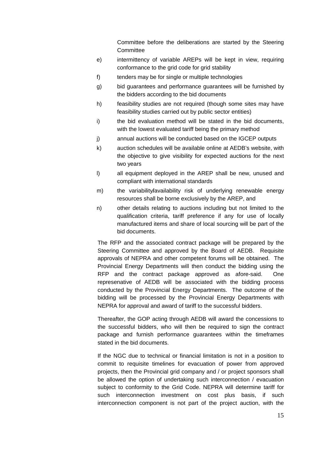Committee before the deliberations are started by the Steering **Committee** 

- e) intermittency of variable AREPs will be kept in view, requiring conformance to the grid code for grid stability
- f) tenders may be for single or multiple technologies
- g) bid guarantees and performance guarantees will be furnished by the bidders according to the bid documents
- h) feasibility studies are not required (though some sites may have feasibility studies carried out by public sector entities)
- i) the bid evaluation method will be stated in the bid documents, with the lowest evaluated tariff being the primary method
- j) annual auctions will be conducted based on the IGCEP outputs
- k) auction schedules will be available online at AEDB's website, with the objective to give visibility for expected auctions for the next two years
- l) all equipment deployed in the AREP shall be new, unused and compliant with international standards
- m) the variability**/**availability risk of underlying renewable energy resources shall be borne exclusively by the AREP, and
- n) other details relating to auctions including but not limited to the qualification criteria, tariff preference if any for use of locally manufactured items and share of local sourcing will be part of the bid documents.

The RFP and the associated contract package will be prepared by the Steering Committee and approved by the Board of AEDB. Requisite approvals of NEPRA and other competent forums will be obtained. The Provincial Energy Departments will then conduct the bidding using the RFP and the contract package approved as afore-said. One represenative of AEDB will be associated with the bidding process conducted by the Provincial Energy Departments. The outcome of the bidding will be processed by the Provincial Energy Departments with NEPRA for approval and award of tariff to the successful bidders.

Thereafter, the GOP acting through AEDB will award the concessions to the successful bidders, who will then be required to sign the contract package and furnish performance guarantees within the timeframes stated in the bid documents.

If the NGC due to technical or financial limitation is not in a position to commit to requisite timelines for evacuation of power from approved projects, then the Provincial grid company and / or project sponsors shall be allowed the option of undertaking such interconnection / evacuation subject to conformity to the Grid Code. NEPRA will determine tariff for such interconnection investment on cost plus basis, if such interconnection component is not part of the project auction, with the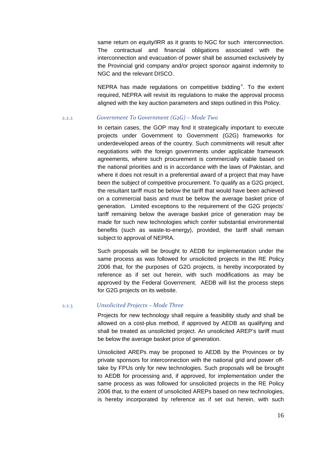same return on equity/IRR as it grants to NGC for such interconnection. The contractual and financial obligations associated with the interconnection and evacuation of power shall be assumed exclusively by the Provincial grid company and/or project sponsor against indemnity to NGC and the relevant DISCO.

NEPRA has made regulations on competiti[v](#page-32-4)e bidding<sup> $v$ </sup>. To the extent required, NEPRA will revisit its regulations to make the approval process aligned with the key auction parameters and steps outlined in this Policy.

# <span id="page-16-0"></span>2.2.2 *Government To Government (G2G) – Mode Two*

In certain cases, the GOP may find it strategically important to execute projects under Government to Government (G2G) frameworks for underdeveloped areas of the country. Such commitments will result after negotiations with the foreign governments under applicable framework agreements, where such procurement is commercially viable based on the national priorities and is in accordance with the laws of Pakistan, and where it does not result in a preferential award of a project that may have been the subject of competitive procurement. To qualify as a G2G project, the resultant tariff must be below the tariff that would have been achieved on a commercial basis and must be below the average basket price of generation. Limited exceptions to the requirement of the G2G projects' tariff remaining below the average basket price of generation may be made for such new technologies which confer substantial environmental benefits (such as waste-to-energy), provided, the tariff shall remain subject to approval of NEPRA.

Such proposals will be brought to AEDB for implementation under the same process as was followed for unsolicited projects in the RE Policy 2006 that, for the purposes of G2G projects, is hereby incorporated by reference as if set out herein, with such modifications as may be approved by the Federal Government. AEDB will list the process steps for G2G projects on its website.

### <span id="page-16-1"></span>2.2.3 *Unsolicited Projects – Mode Three*

Projects for new technology shall require a feasibility study and shall be allowed on a cost-plus method, if approved by AEDB as qualifying and shall be treated as unsolicited project. An unsolicited AREP's tariff must be below the average basket price of generation.

Unsolicited AREPs may be proposed to AEDB by the Provinces or by private sponsors for interconnection with the national grid and power offtake by FPUs only for new technologies. Such proposals will be brought to AEDB for processing and, if approved, for implementation under the same process as was followed for unsolicited projects in the RE Policy 2006 that, to the extent of unsolicited AREPs based on new technologies, is hereby incorporated by reference as if set out herein, with such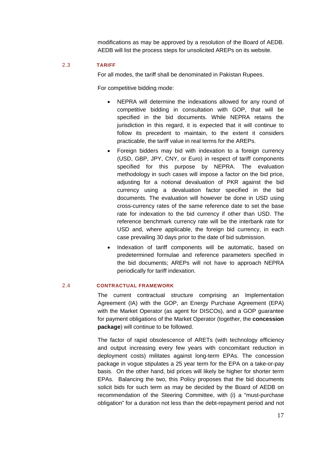modifications as may be approved by a resolution of the Board of AEDB. AEDB will list the process steps for unsolicited AREPs on its website.

#### <span id="page-17-0"></span>2.3 **TARIFF**

For all modes, the tariff shall be denominated in Pakistan Rupees.

For competitive bidding mode:

- NEPRA will determine the indexations allowed for any round of competitive bidding in consultation with GOP, that will be specified in the bid documents. While NEPRA retains the jurisdiction in this regard, it is expected that it will continue to follow its precedent to maintain, to the extent it considers practicable, the tariff value in real terms for the AREPs.
- Foreign bidders may bid with indexation to a foreign currency (USD, GBP, JPY, CNY, or Euro) in respect of tariff components specified for this purpose by NEPRA. The evaluation methodology in such cases will impose a factor on the bid price, adjusting for a notional devaluation of PKR against the bid currency using a devaluation factor specified in the bid documents. The evaluation will however be done in USD using cross-currency rates of the same reference date to set the base rate for indexation to the bid currency if other than USD. The reference benchmark currency rate will be the interbank rate for USD and, where applicable, the foreign bid currency, in each case prevailing 30 days prior to the date of bid submission.
- Indexation of tariff components will be automatic, based on predetermined formulae and reference parameters specified in the bid documents; AREPs will not have to approach NEPRA periodically for tariff indexation.

#### <span id="page-17-1"></span>2.4 **CONTRACTUAL FRAMEWORK**

The current contractual structure comprising an Implementation Agreement (IA) with the GOP, an Energy Purchase Agreement (EPA) with the Market Operator (as agent for DISCOs), and a GOP guarantee for payment obligations of the Market Operator (together, the **concession package**) will continue to be followed.

The factor of rapid obsolescence of ARETs (with technology efficiency and output increasing every few years with concomitant reduction in deployment costs) militates against long-term EPAs. The concession package in vogue stipulates a 25 year term for the EPA on a take-or-pay basis. On the other hand, bid prices will likely be higher for shorter term EPAs. Balancing the two, this Policy proposes that the bid documents solicit bids for such term as may be decided by the Board of AEDB on recommendation of the Steering Committee, with (i) a "must-purchase obligation" for a duration not less than the debt-repayment period and not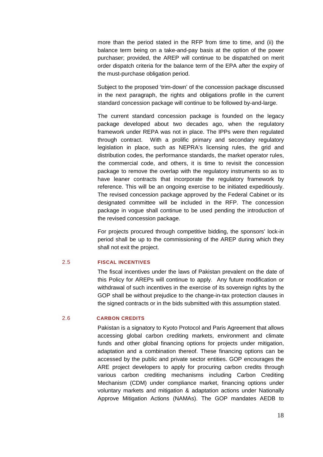more than the period stated in the RFP from time to time, and (ii) the balance term being on a take-and-pay basis at the option of the power purchaser; provided, the AREP will continue to be dispatched on merit order dispatch criteria for the balance term of the EPA after the expiry of the must-purchase obligation period.

Subject to the proposed 'trim-down' of the concession package discussed in the next paragraph, the rights and obligations profile in the current standard concession package will continue to be followed by-and-large.

The current standard concession package is founded on the legacy package developed about two decades ago, when the regulatory framework under REPA was not in place. The IPPs were then regulated through contract. With a prolific primary and secondary regulatory legislation in place, such as NEPRA's licensing rules, the grid and distribution codes, the performance standards, the market operator rules, the commercial code, and others, it is time to revisit the concession package to remove the overlap with the regulatory instruments so as to have leaner contracts that incorporate the regulatory framework by reference. This will be an ongoing exercise to be initiated expeditiously. The revised concession package approved by the Federal Cabinet or its designated committee will be included in the RFP. The concession package in vogue shall continue to be used pending the introduction of the revised concession package.

For projects procured through competitive bidding, the sponsors' lock-in period shall be up to the commissioning of the AREP during which they shall not exit the project.

# 2.5 **FISCAL INCENTIVES**

<span id="page-18-0"></span>The fiscal incentives under the laws of Pakistan prevalent on the date of this Policy for AREPs will continue to apply. Any future modification or withdrawal of such incentives in the exercise of its sovereign rights by the GOP shall be without prejudice to the change-in-tax protection clauses in the signed contracts or in the bids submitted with this assumption stated.

#### <span id="page-18-1"></span>2.6 **CARBON CREDITS**

Pakistan is a signatory to Kyoto Protocol and Paris Agreement that allows accessing global carbon crediting markets, environment and climate funds and other global financing options for projects under mitigation, adaptation and a combination thereof. These financing options can be accessed by the public and private sector entities. GOP encourages the ARE project developers to apply for procuring carbon credits through various carbon crediting mechanisms including Carbon Crediting Mechanism (CDM) under compliance market, financing options under voluntary markets and mitigation & adaptation actions under Nationally Approve Mitigation Actions (NAMAs). The GOP mandates AEDB to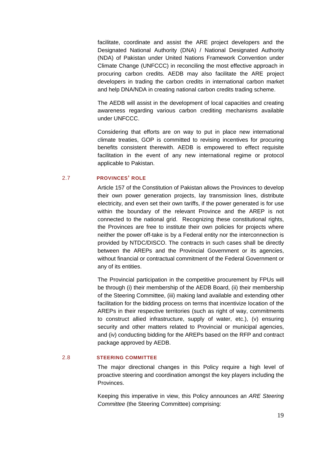facilitate, coordinate and assist the ARE project developers and the Designated National Authority (DNA) / National Designated Authority (NDA) of Pakistan under United Nations Framework Convention under Climate Change (UNFCCC) in reconciling the most effective approach in procuring carbon credits. AEDB may also facilitate the ARE project developers in trading the carbon credits in international carbon market and help DNA/NDA in creating national carbon credits trading scheme.

The AEDB will assist in the development of local capacities and creating awareness regarding various carbon crediting mechanisms available under UNFCCC.

Considering that efforts are on way to put in place new international climate treaties, GOP is committed to revising incentives for procuring benefits consistent therewith. AEDB is empowered to effect requisite facilitation in the event of any new international regime or protocol applicable to Pakistan.

## <span id="page-19-0"></span>2.7 **PROVINCES' ROLE**

Article 157 of the Constitution of Pakistan allows the Provinces to develop their own power generation projects, lay transmission lines, distribute electricity, and even set their own tariffs, if the power generated is for use within the boundary of the relevant Province and the AREP is not connected to the national grid. Recognizing these constitutional rights, the Provinces are free to institute their own policies for projects where neither the power off-take is by a Federal entity nor the interconnection is provided by NTDC/DISCO. The contracts in such cases shall be directly between the AREPs and the Provincial Government or its agencies, without financial or contractual commitment of the Federal Government or any of its entities.

The Provincial participation in the competitive procurement by FPUs will be through (i) their membership of the AEDB Board, (ii) their membership of the Steering Committee, (iii) making land available and extending other facilitation for the bidding process on terms that incentivize location of the AREPs in their respective territories (such as right of way, commitments to construct allied infrastructure, supply of water, etc.), (v) ensuring security and other matters related to Provincial or municipal agencies, and (iv) conducting bidding for the AREPs based on the RFP and contract package approved by AEDB.

## <span id="page-19-1"></span>2.8 **STEERING COMMITTEE**

The major directional changes in this Policy require a high level of proactive steering and coordination amongst the key players including the Provinces.

Keeping this imperative in view, this Policy announces an *ARE Steering Committee* (the Steering Committee) comprising: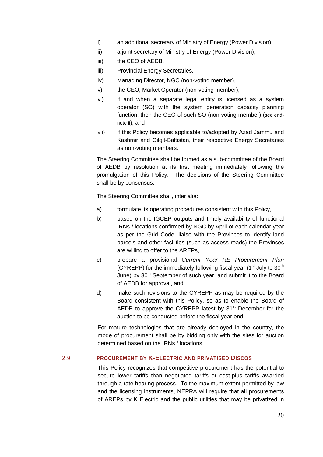- i) an additional secretary of Ministry of Energy (Power Division),
- ii) a joint secretary of Ministry of Energy (Power Division),
- iii) the CEO of AEDB,
- iii) Provincial Energy Secretaries,
- iv) Managing Director, NGC (non-voting member),
- v) the CEO, Market Operator (non-voting member),
- vi) if and when a separate legal entity is licensed as a system operator (SO) with the system generation capacity planning function, then the CEO of such SO (non-voting member) (see endnote ii), and
- vii) if this Policy becomes applicable to/adopted by Azad Jammu and Kashmir and Gilgit-Baltistan, their respective Energy Secretaries as non-voting members.

The Steering Committee shall be formed as a sub-committee of the Board of AEDB by resolution at its first meeting immediately following the promulgation of this Policy. The decisions of the Steering Committee shall be by consensus.

The Steering Committee shall, inter alia:

- a) formulate its operating procedures consistent with this Policy,
- b) based on the IGCEP outputs and timely availability of functional IRNs / locations confirmed by NGC by April of each calendar year as per the Grid Code, liaise with the Provinces to identify land parcels and other facilities (such as access roads) the Provinces are willing to offer to the AREPs,
- c) prepare a provisional *Current Year RE Procurement Plan* (CYREPP) for the immediately following fiscal year  $(1<sup>st</sup>$  July to 30<sup>th</sup> June) by 30<sup>th</sup> September of such year, and submit it to the Board of AEDB for approval, and
- d) make such revisions to the CYREPP as may be required by the Board consistent with this Policy, so as to enable the Board of AEDB to approve the CYREPP latest by  $31<sup>st</sup>$  December for the auction to be conducted before the fiscal year end.

For mature technologies that are already deployed in the country, the mode of procurement shall be by bidding only with the sites for auction determined based on the IRNs / locations.

#### <span id="page-20-0"></span>2.9 **PROCUREMENT BY K-ELECTRIC AND PRIVATISED DISCOS**

This Policy recognizes that competitive procurement has the potential to secure lower tariffs than negotiated tariffs or cost-plus tariffs awarded through a rate hearing process. To the maximum extent permitted by law and the licensing instruments, NEPRA will require that all procurements of AREPs by K Electric and the public utilities that may be privatized in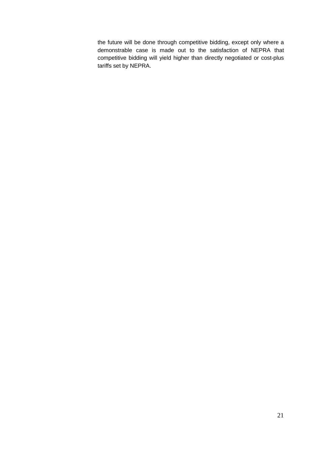the future will be done through competitive bidding, except only where a demonstrable case is made out to the satisfaction of NEPRA that competitive bidding will yield higher than directly negotiated or cost-plus tariffs set by NEPRA.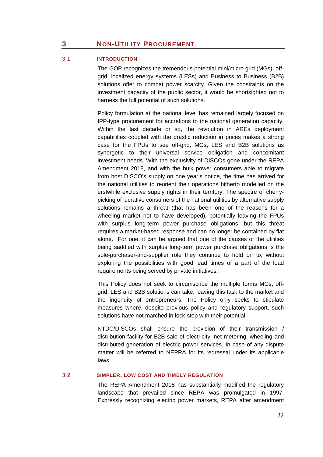# <span id="page-22-0"></span>**3** NON-UTILITY PROCUREMENT

#### <span id="page-22-1"></span>3.1 **INTRODUCTION**

The GOP recognizes the tremendous potential mini/micro grid (MGs), offgrid, localized energy systems (LESs) and Business to Business (B2B) solutions offer to combat power scarcity. Given the constraints on the investment capacity of the public sector, it would be shortsighted not to harness the full potential of such solutions.

Policy formulation at the national level has remained largely focused on IPP-type procurement for accretions to the national generation capacity. Within the last decade or so, the revolution in AREs deployment capabilities coupled with the drastic reduction in prices makes a strong case for the FPUs to see off-grid, MGs, LES and B2B solutions as synergetic to their universal service obligation and concomitant investment needs. With the exclusivity of DISCOs gone under the REPA Amendment 2018, and with the bulk power consumers able to migrate from host DISCO's supply on one year's notice, the time has arrived for the national utilities to reorient their operations hitherto modelled on the erstwhile exclusive supply rights in their territory. The spectre of cherrypicking of lucrative consumers of the national utilities by alternative supply solutions remains a threat (that has been one of the reasons for a wheeling market not to have developed), potentially leaving the FPUs with surplus long-term power purchase obligations, but this threat requires a market-based response and can no longer be contained by fiat alone. For one, it can be argued that one of the causes of the utilities being saddled with surplus long-term power purchase obligations is the sole-purchaser-and-supplier role they continue to hold on to, without exploring the possibilities with good lead times of a part of the load requirements being served by private initiatives.

This Policy does not seek to circumscribe the multiple forms MGs, offgrid, LES and B2B solutions can take, leaving this task to the market and the ingenuity of entrepreneurs. The Policy only seeks to stipulate measures where, despite previous policy and regulatory support, such solutions have not marched in lock-step with their potential.

NTDC/DISCOs shall ensure the provision of their transmission / distribution facility for B2B sale of electricity, net metering, wheeling and distributed generation of electric power services. In case of any dispute matter will be referred to NEPRA for its redressal under its applicable laws.

#### <span id="page-22-2"></span>3.2 **SIMPLER, LOW COST AND TIMELY REGULATION**

The REPA Amendment 2018 has substantially modified the regulatory landscape that prevailed since REPA was promulgated in 1997. Expressly recognizing electric power markets, REPA after amendment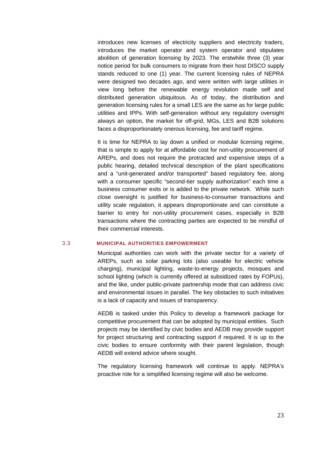introduces new licenses of electricity suppliers and electricity traders, introduces the market operator and system operator and stipulates abolition of generation licensing by 2023. The erstwhile three (3) year notice period for bulk consumers to migrate from their host DISCO supply stands reduced to one (1) year. The current licensing rules of NEPRA were designed two decades ago, and were written with large utilities in view long before the renewable energy revolution made self and distributed generation ubiquitous. As of today, the distribution and generation licensing rules for a small LES are the same as for large public utilities and IPPs. With self-generation without any regulatory oversight always an option, the market for off-grid, MGs, LES and B2B solutions faces a disproportionately onerous licensing, fee and tariff regime.

It is time for NEPRA to lay down a unified or modular licensing regime, that is simple to apply for at affordable cost for non-utility procurement of AREPs, and does not require the protracted and expensive steps of a public hearing, detailed technical description of the plant specifications and a "unit-generated and/or transported" based regulatory fee, along with a consumer specific "second-tier supply authorization" each time a business consumer exits or is added to the private network. While such close oversight is justified for business-to-consumer transactions and utility scale regulation, it appears disproportionate and can constitute a barrier to entry for non-utility procurement cases, especially in B2B transactions where the contracting parties are expected to be mindful of their commercial interests.

#### <span id="page-23-0"></span>3.3 **MUNICIPAL AUTHORITIES EMPOWERMENT**

Municipal authorities can work with the private sector for a variety of AREPs, such as solar parking lots (also useable for electric vehicle charging), municipal lighting, waste-to-energy projects, mosques and school lighting (which is currently offered at subsidized rates by FOPUs), and the like, under public-private partnership mode that can address civic and environmental issues in parallel. The key obstacles to such initiatives is a lack of capacity and issues of transparency.

AEDB is tasked under this Policy to develop a framework package for competitive procurement that can be adopted by municipal entities. Such projects may be identified by civic bodies and AEDB may provide support for project structuring and contracting support if required. It is up to the civic bodies to ensure conformity with their parent legislation, though AEDB will extend advice where sought.

The regulatory licensing framework will continue to apply. NEPRA's proactive role for a simplified licensing regime will also be welcome.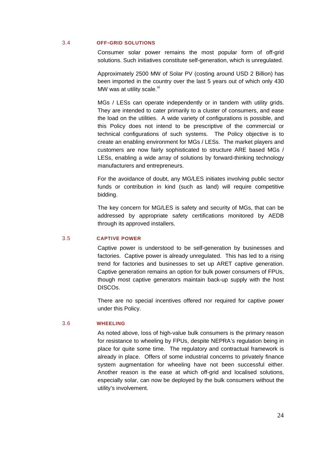#### <span id="page-24-0"></span>3.4 **OFF-GRID SOLUTIONS**

Consumer solar power remains the most popular form of off-grid solutions. Such initiatives constitute self-generation, which is unregulated.

Approximately 2500 MW of Solar PV (costing around USD 2 Billion) has been imported in the country over the last 5 years out of which only 430 MW was at utility scale.<sup>vi</sup>

MGs / LESs can operate independently or in tandem with utility grids. They are intended to cater primarily to a cluster of consumers, and ease the load on the utilities. A wide variety of configurations is possible, and this Policy does not intend to be prescriptive of the commercial or technical configurations of such systems. The Policy objective is to create an enabling environment for MGs / LESs. The market players and customers are now fairly sophisticated to structure ARE based MGs / LESs, enabling a wide array of solutions by forward-thinking technology manufacturers and entrepreneurs.

For the avoidance of doubt, any MG/LES initiates involving public sector funds or contribution in kind (such as land) will require competitive bidding.

The key concern for MG/LES is safety and security of MGs, that can be addressed by appropriate safety certifications monitored by AEDB through its approved installers.

#### <span id="page-24-1"></span>3.5 **CAPTIVE POWER**

Captive power is understood to be self-generation by businesses and factories. Captive power is already unregulated. This has led to a rising trend for factories and businesses to set up ARET captive generation. Captive generation remains an option for bulk power consumers of FPUs, though most captive generators maintain back-up supply with the host DISCOs.

There are no special incentives offered nor required for captive power under this Policy.

## <span id="page-24-2"></span>3.6 **WHEELING**

As noted above, loss of high-value bulk consumers is the primary reason for resistance to wheeling by FPUs, despite NEPRA's regulation being in place for quite some time. The regulatory and contractual framework is already in place. Offers of some industrial concerns to privately finance system augmentation for wheeling have not been successful either. Another reason is the ease at which off-grid and localised solutions, especially solar, can now be deployed by the bulk consumers without the utility's involvement.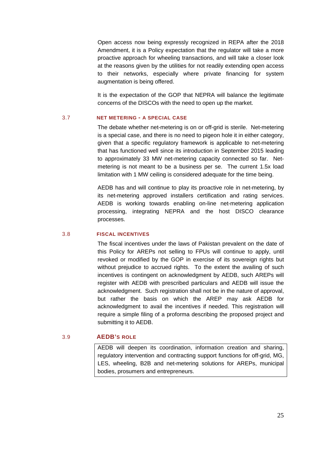Open access now being expressly recognized in REPA after the 2018 Amendment, it is a Policy expectation that the regulator will take a more proactive approach for wheeling transactions, and will take a closer look at the reasons given by the utilities for not readily extending open access to their networks, especially where private financing for system augmentation is being offered.

It is the expectation of the GOP that NEPRA will balance the legitimate concerns of the DISCOs with the need to open up the market.

### <span id="page-25-0"></span>3.7 **NET METERING - A SPECIAL CASE**

The debate whether net-metering is on or off-grid is sterile. Net-metering is a special case, and there is no need to pigeon hole it in either category, given that a specific regulatory framework is applicable to net-metering that has functioned well since its introduction in September 2015 leading to approximately 33 MW net-metering capacity connected so far. Netmetering is not meant to be a business per se. The current 1.5x load limitation with 1 MW ceiling is considered adequate for the time being.

AEDB has and will continue to play its proactive role in net-metering, by its net-metering approved installers certification and rating services. AEDB is working towards enabling on-line net-metering application processing, integrating NEPRA and the host DISCO clearance processes.

# <span id="page-25-1"></span>3.8 **FISCAL INCENTIVES**

The fiscal incentives under the laws of Pakistan prevalent on the date of this Policy for AREPs not selling to FPUs will continue to apply, until revoked or modified by the GOP in exercise of its sovereign rights but without prejudice to accrued rights. To the extent the availing of such incentives is contingent on acknowledgment by AEDB, such AREPs will register with AEDB with prescribed particulars and AEDB will issue the acknowledgment. Such registration shall not be in the nature of approval, but rather the basis on which the AREP may ask AEDB for acknowledgment to avail the incentives if needed. This registration will require a simple filing of a proforma describing the proposed project and submitting it to AEDB.

# <span id="page-25-2"></span>3.9 **AEDB'S ROLE**

AEDB will deepen its coordination, information creation and sharing, regulatory intervention and contracting support functions for off-grid, MG, LES, wheeling, B2B and net-metering solutions for AREPs, municipal bodies, prosumers and entrepreneurs.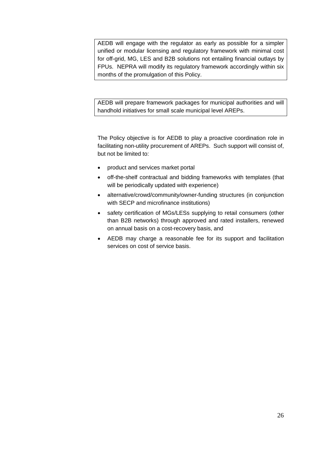AEDB will engage with the regulator as early as possible for a simpler unified or modular licensing and regulatory framework with minimal cost for off-grid, MG, LES and B2B solutions not entailing financial outlays by FPUs. NEPRA will modify its regulatory framework accordingly within six months of the promulgation of this Policy.

AEDB will prepare framework packages for municipal authorities and will handhold initiatives for small scale municipal level AREPs.

The Policy objective is for AEDB to play a proactive coordination role in facilitating non-utility procurement of AREPs. Such support will consist of, but not be limited to:

- product and services market portal
- off-the-shelf contractual and bidding frameworks with templates (that will be periodically updated with experience)
- alternative/crowd/community/owner-funding structures (in conjunction with SECP and microfinance institutions)
- safety certification of MGs/LESs supplying to retail consumers (other than B2B networks) through approved and rated installers, renewed on annual basis on a cost-recovery basis, and
- AEDB may charge a reasonable fee for its support and facilitation services on cost of service basis.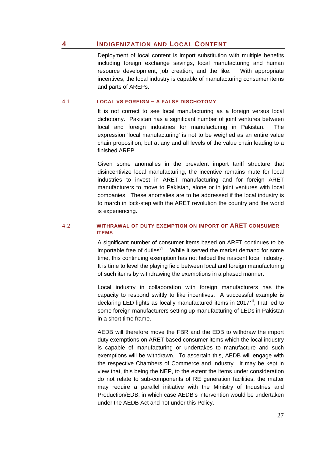# <span id="page-27-0"></span>**4 INDIGENIZATION AND LOCAL CONTENT**

Deployment of local content is import substitution with multiple benefits including foreign exchange savings, local manufacturing and human resource development, job creation, and the like. With appropriate incentives, the local industry is capable of manufacturing consumer items and parts of AREPs.

### <span id="page-27-1"></span>4.1 **LOCAL VS FOREIGN – A FALSE DISCHOTOMY**

It is not correct to see local manufacturing as a foreign versus local dichotomy. Pakistan has a significant number of joint ventures between local and foreign industries for manufacturing in Pakistan. The expression 'local manufacturing' is not to be weighed as an entire value chain proposition, but at any and all levels of the value chain leading to a finished AREP.

Given some anomalies in the prevalent import tariff structure that disincentivize local manufacturing, the incentive remains mute for local industries to invest in ARET manufacturing and for foreign ARET manufacturers to move to Pakistan, alone or in joint ventures with local companies. These anomalies are to be addressed if the local industry is to march in lock-step with the ARET revolution the country and the world is experiencing.

## <span id="page-27-2"></span>4.2 **WITHRAWAL OF DUTY EXEMPTION ON IMPORT OF ARET CONSUMER ITEMS**

A significant number of consumer items based on ARET continues to be importable free of duties<sup>[vii](#page-32-6)</sup>. While it served the market demand for some time, this continuing exemption has not helped the nascent local industry. It is time to level the playing field between local and foreign manufacturing of such items by withdrawing the exemptions in a phased manner.

Local industry in collaboration with foreign manufacturers has the capacity to respond swiftly to like incentives. A successful example is declaring LED lights as locally manufactured items in 2017 $\frac{1}{10}$  that led to some foreign manufacturers setting up manufacturing of LEDs in Pakistan in a short time frame.

AEDB will therefore move the FBR and the EDB to withdraw the import duty exemptions on ARET based consumer items which the local industry is capable of manufacturing or undertakes to manufacture and such exemptions will be withdrawn. To ascertain this, AEDB will engage with the respective Chambers of Commerce and Industry. It may be kept in view that, this being the NEP, to the extent the items under consideration do not relate to sub-components of RE generation facilities, the matter may require a parallel initiative with the Ministry of Industries and Production/EDB, in which case AEDB's intervention would be undertaken under the AEDB Act and not under this Policy.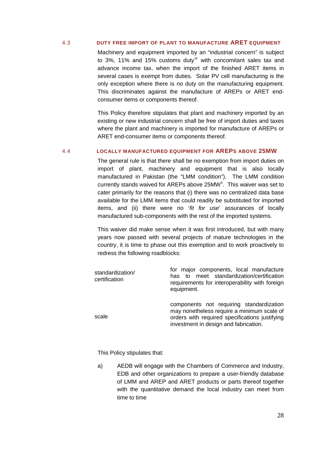#### <span id="page-28-0"></span>4.3 **DUTY FREE IMPORT OF PLANT TO MANUFACTURE ARET EQUIPMENT**

Machinery and equipment imported by an "industrial concern" is subject to  $3\%$ , 11% and 15% customs duty<sup>[ix](#page-32-8)</sup> with concomitant sales tax and advance income tax, when the import of the finished ARET items in several cases is exempt from duties. Solar PV cell manufacturing is the only exception where there is no duty on the manufacturing equipment. This discriminates against the manufacture of AREPs or ARET endconsumer items or components thereof.

This Policy therefore stipulates that plant and machinery imported by an existing or new industrial concern shall be free of import duties and taxes where the plant and machinery is imported for manufacture of AREPs or ARET end-consumer items or components thereof.

## <span id="page-28-1"></span>4.4 **LOCALLY MANUFACTURED EQUIPMENT FOR AREPS ABOVE 25MW**

The general rule is that there shall be no exemption from import duties on import of plant, machinery and equipment that is also locally manufactured in Pakistan (the "LMM condition"). The LMM condition currently stands waived for AREPs above 25MW<sup>[x](#page-32-9)</sup>. This waiver was set to cater primarily for the reasons that (i) there was no centralized data base available for the LMM items that could readily be substituted for imported items, and (ii) there were no '*fit for use*' assurances of locally manufactured sub-components with the rest of the imported systems.

This waiver did make sense when it was first introduced, but with many years now passed with several projects of mature technologies in the country, it is time to phase out this exemption and to work proactively to redress the following roadblocks:

| standardization/<br>certification | for major components, local manufacture<br>has to meet standardization/certification<br>requirements for interoperability with foreign<br>equipment.                              |
|-----------------------------------|-----------------------------------------------------------------------------------------------------------------------------------------------------------------------------------|
| scale                             | components not requiring standardization<br>may nonetheless require a minimum scale of<br>orders with required specifications justifying<br>investment in design and fabrication. |

This Policy stipulates that:

a) AEDB will engage with the Chambers of Commerce and Industry, EDB and other organizations to prepare a user-friendly database of LMM and AREP and ARET products or parts thereof together with the quantitative demand the local industry can meet from time to time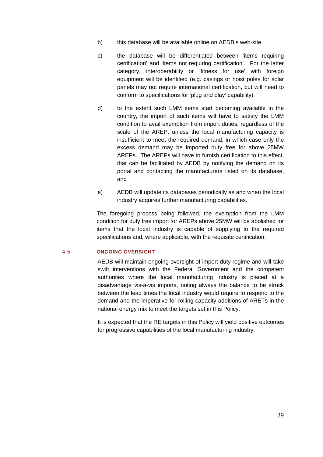- b) this database will be available online on AEDB's web-site
- c) the database will be differentiated between 'items requiring certification' and 'items not requiring certification'. For the latter category, interoperability or 'fitness for use' with foreign equipment will be identified (e.g. casings or hoist poles for solar panels may not require international certification, but will need to conform to specifications for 'plug and play' capability)
- d) to the extent such LMM items start becoming available in the country, the import of such items will have to satisfy the LMM condition to avail exemption from import duties, regardless of the scale of the AREP, unless the local manufacturing capacity is insufficient to meet the required demand, in which case only the excess demand may be imported duty free for above 25MW AREPs. The AREPs will have to furnish certification to this effect, that can be facilitated by AEDB by notifying the demand on its portal and contacting the manufacturers listed on its database, and
- e) AEDB will update its databases periodically as and when the local industry acquires further manufacturing capabilities.

The foregoing process being followed, the exemption from the LMM condition for duty free import for AREPs above 25MW will be abolished for items that the local industry is capable of supplying to the required specifications and, where applicable, with the requisite certification.

#### <span id="page-29-0"></span>4.5 **ONGOING OVERSIGHT**

AEDB will maintain ongoing oversight of import duty regime and will take swift interventions with the Federal Government and the competent authorities where the local manufacturing industry is placed at a disadvantage vis-à-vis imports, noting always the balance to be struck between the lead times the local industry would require to respond to the demand and the imperative for rolling capacity additions of ARETs in the national energy mix to meet the targets set in this Policy.

It is expected that the RE targets in this Policy will yield positive outcomes for progressive capabilities of the local manufacturing industry.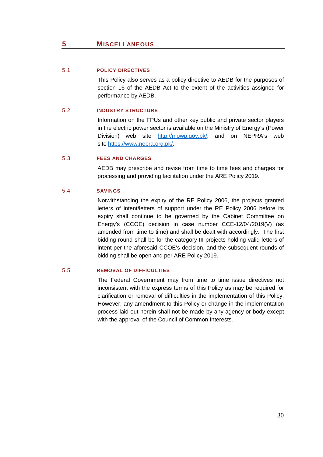# <span id="page-30-0"></span>**5 MISCELLANEOUS**

## <span id="page-30-1"></span>5.1 **POLICY DIRECTIVES**

This Policy also serves as a policy directive to AEDB for the purposes of section 16 of the AEDB Act to the extent of the activities assigned for performance by AEDB.

## <span id="page-30-2"></span>5.2 **INDUSTRY STRUCTURE**

Information on the FPUs and other key public and private sector players in the electric power sector is available on the Ministry of Energy's (Power Division) web site [http://mowp.gov.pk/,](http://mowp.gov.pk/) and on NEPRA's web site [https://www.nepra.org.pk/.](https://www.nepra.org.pk/)

### <span id="page-30-3"></span>5.3 **FEES AND CHARGES**

AEDB may prescribe and revise from time to time fees and charges for processing and providing facilitation under the ARE Policy 2019.

#### <span id="page-30-4"></span>5.4 **SAVINGS**

Notwithstanding the expiry of the RE Policy 2006, the projects granted letters of intent/letters of support under the RE Policy 2006 before its expiry shall continue to be governed by the Cabinet Committee on Energy's (CCOE) decision in case number CCE-12/04/2019(V) (as amended from time to time) and shall be dealt with accordingly. The first bidding round shall be for the category-III projects holding valid letters of intent per the aforesaid CCOE's decision, and the subsequent rounds of bidding shall be open and per ARE Policy 2019.

# <span id="page-30-5"></span>5.5 **REMOVAL OF DIFFICULTIES**

The Federal Government may from time to time issue directives not inconsistent with the express terms of this Policy as may be required for clarification or removal of difficulties in the implementation of this Policy. However, any amendment to this Policy or change in the implementation process laid out herein shall not be made by any agency or body except with the approval of the Council of Common Interests.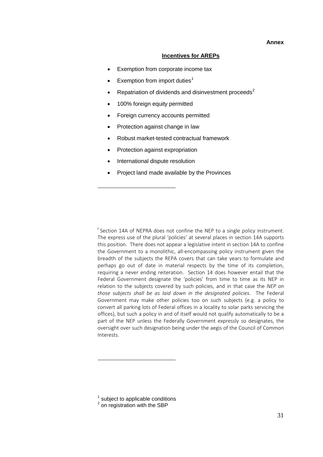#### **Incentives for AREPs**

- Exemption from corporate income tax
- Exemption from import duties<sup>[1](#page-31-0)</sup>
- Repatriation of dividends and disinvestment proceeds $2$
- 100% foreign equity permitted
- Foreign currency accounts permitted
- Protection against change in law
- Robust market-tested contractual framework
- Protection against expropriation
- International dispute resolution

1

1

• Project land made available by the Provinces

<sup>i</sup> Section 14A of NEPRA does not confine the NEP to a single policy instrument. The express use of the plural 'policies' at several places in section 14A supports this position. There does not appear a legislative intent in section 14A to confine the Government to a monolithic, all-encompassing policy instrument given the breadth of the subjects the REPA covers that can take years to formulate and perhaps go out of date in material respects by the time of its completion, requiring a never ending reiteration. Section 14 does however entail that the Federal Government designate the 'policies' from time to time as its NEP in relation to the subjects covered by such policies, and in that case the *NEP on those subjects shall be as laid down in the designated policies*. The Federal Government may make other policies too on such subjects (e.g. a policy to convert all parking lots of Federal offices in a locality to solar parks servicing the offices), but such a policy in and of itself would not qualify automatically to be a part of the NEP unless the Federally Government expressly so designates, the oversight over such designation being under the aegis of the Council of Common Interests.

<span id="page-31-0"></span> $<sup>1</sup>$  subject to applicable conditions</sup>

<span id="page-31-1"></span> $2$  on registration with the SBP